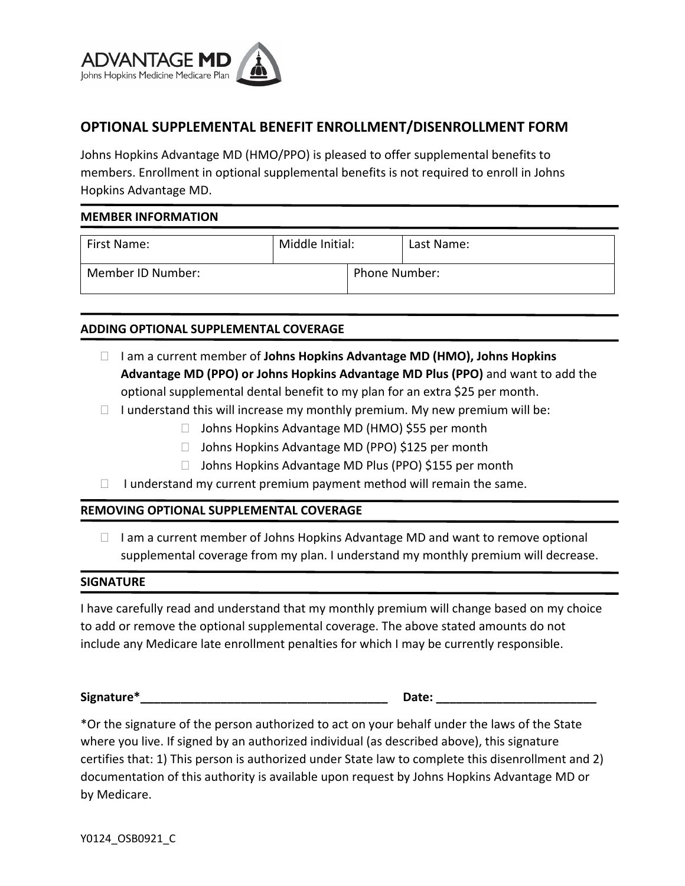

# **OPTIONAL SUPPLEMENTAL BENEFIT ENROLLMENT/DISENROLLMENT FORM**

Johns Hopkins Advantage MD (HMO/PPO) is pleased to offer supplemental benefits to members. Enrollment in optional supplemental benefits is not required to enroll in Johns Hopkins Advantage MD.

### **MEMBER INFORMATION**

| First Name:       | Middle Initial: |                      | Last Name: |
|-------------------|-----------------|----------------------|------------|
| Member ID Number: |                 | <b>Phone Number:</b> |            |

## **ADDING OPTIONAL SUPPLEMENTAL COVERAGE**

- □ Iam a current member of **Johns Hopkins Advantage MD (HMO), Johns Hopkins Advantage MD (PPO) or Johns Hopkins Advantage MD Plus (PPO)** and want to add the optional supplemental dental benefit to my plan for an extra \$25 per month.
- $\Box$  I understand this will increase my monthly premium. My new premium will be:
	- □ Johns Hopkins Advantage MD (HMO) \$55 per month
	- □ Johns Hopkins Advantage MD (PPO) \$125 per month
	- □ Johns Hopkins Advantage MD Plus (PPO) \$155 per month
- $\Box$  I understand my current premium payment method will remain the same.

### **REMOVING OPTIONAL SUPPLEMENTAL COVERAGE**

 $\Box$  I am a current member of Johns Hopkins Advantage MD and want to remove optional supplemental coverage from my plan. I understand my monthly premium will decrease.

#### **SIGNATURE**

I have carefully read and understand that my monthly premium will change based on my choice to add or remove the optional supplemental coverage. The above stated amounts do not include any Medicare late enrollment penalties for which I may be currently responsible.

Signature\* **Example 2018** 

\*Or the signature of the person authorized to act on your behalf under the laws of the State where you live. If signed by an authorized individual (as described above), this signature certifies that: 1) This person is authorized under State law to complete this disenrollment and 2) documentation of this authority is available upon request by Johns Hopkins Advantage MD or by Medicare.